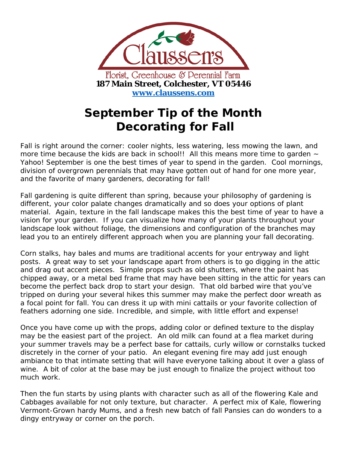

## **September Tip of the Month Decorating for Fall**

Fall is right around the corner: cooler nights, less watering, less mowing the lawn, and more time because the kids are back in school!! All this means more time to garden  $\sim$ Yahoo! September is one the best times of year to spend in the garden. Cool mornings, division of overgrown perennials that may have gotten out of hand for one more year, and the favorite of many gardeners, decorating for fall!

Fall gardening is quite different than spring, because your philosophy of gardening is different, your color palate changes dramatically and so does your options of plant material. Again, texture in the fall landscape makes this the best time of year to have a vision for your garden. If you can visualize how many of your plants throughout your landscape look without foliage, the dimensions and configuration of the branches may lead you to an entirely different approach when you are planning your fall decorating.

Corn stalks, hay bales and mums are traditional accents for your entryway and light posts. A great way to set your landscape apart from others is to go digging in the attic and drag out accent pieces. Simple props such as old shutters, where the paint has chipped away, or a metal bed frame that may have been sitting in the attic for years can become the perfect back drop to start your design. That old barbed wire that you've tripped on during your several hikes this summer may make the perfect door wreath as a focal point for fall. You can dress it up with mini cattails or your favorite collection of feathers adorning one side. Incredible, and simple, with little effort and expense!

Once you have come up with the props, adding color or defined texture to the display may be the easiest part of the project. An old milk can found at a flea market during your summer travels may be a perfect base for cattails, curly willow or cornstalks tucked discretely in the corner of your patio. An elegant evening fire may add just enough ambiance to that intimate setting that will have everyone talking about it over a glass of wine. A bit of color at the base may be just enough to finalize the project without too much work.

Then the fun starts by using plants with character such as all of the flowering Kale and Cabbages available for not only texture, but character. A perfect mix of Kale, flowering Vermont-Grown hardy Mums, and a fresh new batch of fall Pansies can do wonders to a dingy entryway or corner on the porch.